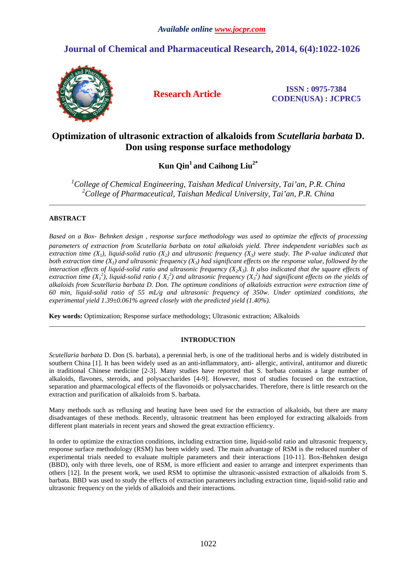# **Journal of Chemical and Pharmaceutical Research, 2014, 6(4):1022-1026**



**Research Article ISSN : 0975-7384 CODEN(USA) : JCPRC5**

# **Optimization of ultrasonic extraction of alkaloids from** *Scutellaria barbata* **D. Don using response surface methodology**

**Kun Qin<sup>1</sup>and Caihong Liu2\*** 

*<sup>1</sup>College of Chemical Engineering, Taishan Medical University, Tai'an, P.R. China <sup>2</sup>College of Pharmaceutical, Taishan Medical University, Tai'an, P.R. China* 

\_\_\_\_\_\_\_\_\_\_\_\_\_\_\_\_\_\_\_\_\_\_\_\_\_\_\_\_\_\_\_\_\_\_\_\_\_\_\_\_\_\_\_\_\_\_\_\_\_\_\_\_\_\_\_\_\_\_\_\_\_\_\_\_\_\_\_\_\_\_\_\_\_\_\_\_\_\_\_\_\_\_\_\_\_\_\_\_\_\_\_\_\_

# **ABSTRACT**

*Based on a Box- Behnken design*,*response surface methodology was used to optimize the effects of processing parameters of extraction from Scutellaria barbata on total alkaloids yield. Three independent variables such as extraction time*  $(X_1)$ *, liquid-solid ratio*  $(X_2)$  *and ultrasonic frequency*  $(X_3)$  *were study. The P-value indicated that both extraction time*  $(X_1)$  *and ultrasonic frequency*  $(X_3)$  had significant effects on the response value, followed by the interaction effects of liquid-solid ratio and ultrasonic frequency  $(X_2X_3)$ . It also indicated that the square effects of *extraction time*  $(X_1^2)$ , liquid-solid ratio ( $X_2^2$ ) and ultrasonic frequency  $(X_3^2)$  had significant effects on the yields of *alkaloids from Scutellaria barbata D. Don. The optimum conditions of alkaloids extraction were extraction time of 60 min, liquid-solid ratio of 55 mL/g and ultrasonic frequency of 350w. Under optimized conditions, the experimental yield 1.39±0.061% agreed closely with the predicted yield (1.40%).* 

**Key words:** Optimization; Response surface methodology; Ultrasonic extraction; Alkaloids

# **INTRODUCTION**

\_\_\_\_\_\_\_\_\_\_\_\_\_\_\_\_\_\_\_\_\_\_\_\_\_\_\_\_\_\_\_\_\_\_\_\_\_\_\_\_\_\_\_\_\_\_\_\_\_\_\_\_\_\_\_\_\_\_\_\_\_\_\_\_\_\_\_\_\_\_\_\_\_\_\_\_\_\_\_\_\_\_\_\_\_\_\_\_\_\_\_\_\_

*Scutellaria barbata* D. Don (S. barbata), a perennial herb, is one of the traditional herbs and is widely distributed in southern China [1]. It has been widely used as an anti-inflammatory, anti- allergic, antiviral, antitumor and diuretic in traditional Chinese medicine [2-3]. Many studies have reported that S. barbata contains a large number of alkaloids, flavones, steroids, and polysaccharides [4-9]. However, most of studies focused on the extraction, separation and pharmacological effects of the flavonoids or polysaccharides. Therefore, there is little research on the extraction and purification of alkaloids from S. barbata.

Many methods such as refluxing and heating have been used for the extraction of alkaloids, but there are many disadvantages of these methods. Recently, ultrasonic treatment has been employed for extracting alkaloids from different plant materials in recent years and showed the great extraction efficiency.

In order to optimize the extraction conditions, including extraction time, liquid-solid ratio and ultrasonic frequency, response surface methodology (RSM) has been widely used. The main advantage of RSM is the reduced number of experimental trials needed to evaluate multiple parameters and their interactions [10-11]. Box-Behnken design (BBD), only with three levels, one of RSM, is more efficient and easier to arrange and interpret experiments than others [12]. In the present work, we used RSM to optimise the ultrasonic-assisted extraction of alkaloids from S. barbata. BBD was used to study the effects of extraction parameters including extraction time, liquid-solid ratio and ultrasonic frequency on the yields of alkaloids and their interactions.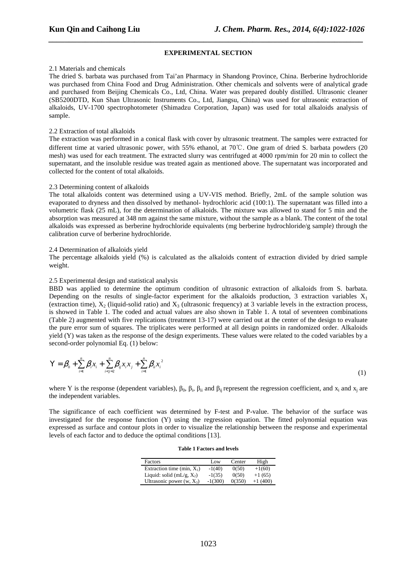## **EXPERIMENTAL SECTION**

*\_\_\_\_\_\_\_\_\_\_\_\_\_\_\_\_\_\_\_\_\_\_\_\_\_\_\_\_\_\_\_\_\_\_\_\_\_\_\_\_\_\_\_\_\_\_\_\_\_\_\_\_\_\_\_\_\_\_\_\_\_\_\_\_\_\_\_\_\_\_\_\_\_\_\_\_\_*

#### 2.1 Materials and chemicals

The dried S. barbata was purchased from Tai'an Pharmacy in Shandong Province, China. Berberine hydrochloride was purchased from China Food and Drug Administration. Other chemicals and solvents were of analytical grade and purchased from Beijing Chemicals Co., Ltd, China. Water was prepared doubly distilled. Ultrasonic cleaner (SB5200DTD, Kun Shan Ultrasonic Instruments Co., Ltd, Jiangsu, China) was used for ultrasonic extraction of alkaloids, UV-1700 spectrophotometer (Shimadzu Corporation, Japan) was used for total alkaloids analysis of sample.

# 2.2 Extraction of total alkaloids

The extraction was performed in a conical flask with cover by ultrasonic treatment. The samples were extracted for different time at varied ultrasonic power, with 55% ethanol, at 70℃. One gram of dried S. barbata powders (20 mesh) was used for each treatment. The extracted slurry was centrifuged at 4000 rpm/min for 20 min to collect the supernatant, and the insoluble residue was treated again as mentioned above. The supernatant was incorporated and collected for the content of total alkaloids.

#### 2.3 Determining content of alkaloids

The total alkaloids content was determined using a UV-VIS method. Briefly, 2mL of the sample solution was evaporated to dryness and then dissolved by methanol- hydrochloric acid (100:1). The supernatant was filled into a volumetric flask (25 mL), for the determination of alkaloids. The mixture was allowed to stand for 5 min and the absorption was measured at 348 nm against the same mixture, without the sample as a blank. The content of the total alkaloids was expressed as berberine hydrochloride equivalents (mg berberine hydrochloride/g sample) through the calibration curve of berberine hydrochloride.

#### 2.4 Determination of alkaloids yield

The percentage alkaloids yield (%) is calculated as the alkaloids content of extraction divided by dried sample weight.

#### 2.5 Experimental design and statistical analysis

BBD was applied to determine the optimum condition of ultrasonic extraction of alkaloids from S. barbata. Depending on the results of single-factor experiment for the alkaloids production, 3 extraction variables  $X_1$ (extraction time),  $X_2$  (liquid-solid ratio) and  $X_3$  (ultrasonic frequency) at 3 variable levels in the extraction process, is showed in Table 1. The coded and actual values are also shown in Table 1. A total of seventeen combinations (Table 2) augmented with five replications (treatment 13-17) were carried out at the center of the design to evaluate the pure error sum of squares. The triplicates were performed at all design points in randomized order. Alkaloids yield (Y) was taken as the response of the design experiments. These values were related to the coded variables by a second-order polynomial Eq. (1) below:

$$
\mathbf{Y} = \boldsymbol{\beta}_0 + \sum_{i=1}^n \beta_i x_i + \sum_{i < j=2}^n \beta_{ij} x_i x_j + \sum_{i=1}^n \beta_{ii} x_i^2 \tag{1}
$$

where Y is the response (dependent variables),  $\beta_0$ ,  $\beta_i$ ,  $\beta_{ii}$  and  $\beta_{ij}$  represent the regression coefficient, and  $x_i$  and  $x_j$  are the independent variables.

The significance of each coefficient was determined by F-test and P-value. The behavior of the surface was investigated for the response function (Y) using the regression equation. The fitted polynomial equation was expressed as surface and contour plots in order to visualize the relationship between the response and experimental levels of each factor and to deduce the optimal conditions [13].

|  |  | <b>Table 1 Factors and levels</b> |  |  |
|--|--|-----------------------------------|--|--|
|--|--|-----------------------------------|--|--|

| Factors                       | Low       | Center | High      |
|-------------------------------|-----------|--------|-----------|
| Extraction time (min, $X_1$ ) | $-1(40)$  | 0(50)  | $+1(60)$  |
| Liquid: solid (mL/g, $X_2$ )  | $-1(35)$  | 0(50)  | $+1(65)$  |
| Ultrasonic power $(w, X_3)$   | $-1(300)$ | 0(350) | $+1(400)$ |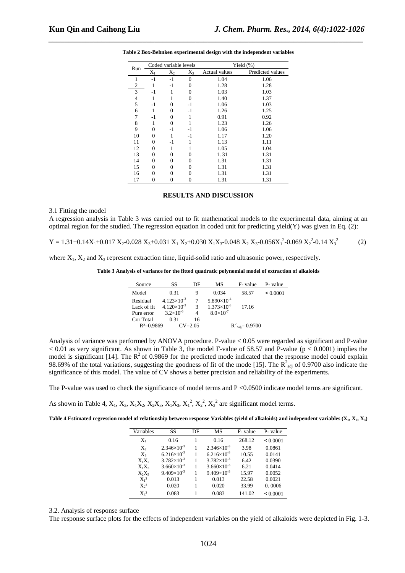|     | Coded variable levels |          |          | Yield $(\%)$  |                  |  |
|-----|-----------------------|----------|----------|---------------|------------------|--|
| Run | $X_1$                 | $X_2$    | $X_3$    | Actual values | Predicted values |  |
| 1   | $-1$                  | $-1$     | $\theta$ | 1.04          | 1.06             |  |
| 2   |                       | $-1$     | $\theta$ | 1.28          | 1.28             |  |
| 3   | $-1$                  |          | 0        | 1.03          | 1.03             |  |
| 4   | 1                     | 1        | 0        | 1.40          | 1.37             |  |
| 5   | $-1$                  | 0        | -1       | 1.06          | 1.03             |  |
| 6   | 1                     | 0        | -1       | 1.26          | 1.25             |  |
| 7   | $-1$                  | 0        | 1        | 0.91          | 0.92             |  |
| 8   |                       | $\Omega$ |          | 1.23          | 1.26             |  |
| 9   | 0                     | -1       | $-1$     | 1.06          | 1.06             |  |
| 10  | 0                     | 1        | -1       | 1.17          | 1.20             |  |
| 11  | 0                     | $-1$     | 1        | 1.13          | 1.11             |  |
| 12  | 0                     | 1        |          | 1.05          | 1.04             |  |
| 13  | 0                     | 0        | 0        | 1.31          | 1.31             |  |
| 14  | 0                     | 0        | 0        | 1.31          | 1.31             |  |
| 15  | 0                     | 0        | 0        | 1.31          | 1.31             |  |
| 16  | 0                     | 0        | 0        | 1.31          | 1.31             |  |
| 17  | 0                     | 0        | 0        | 1.31          | 1.31             |  |

**Table 2 Box-Behnken experimental design with the independent variables** 

*\_\_\_\_\_\_\_\_\_\_\_\_\_\_\_\_\_\_\_\_\_\_\_\_\_\_\_\_\_\_\_\_\_\_\_\_\_\_\_\_\_\_\_\_\_\_\_\_\_\_\_\_\_\_\_\_\_\_\_\_\_\_\_\_\_\_\_\_\_\_\_\_\_\_\_\_\_*

#### **RESULTS AND DISCUSSION**

3.1 Fitting the model

A regression analysis in Table 3 was carried out to fit mathematical models to the experimental data, aiming at an optimal region for the studied. The regression equation in coded unit for predicting yield(Y) was given in Eq. (2):

 $Y = 1.31 + 0.14X_1 + 0.017 X_2 - 0.028 X_3 + 0.031 X_1 X_2 + 0.030 X_1 X_3 - 0.048 X_2 X_3 - 0.056X_1^2 - 0.069 X_2^2 - 0.14 X_3$  $(2)$ 

where  $X_1$ ,  $X_2$  and  $X_3$  represent extraction time, liquid-solid ratio and ultrasonic power, respectively.

**Table 3 Analysis of variance for the fitted quadratic polynomial model of extraction of alkaloids** 

| Source       | SS                   | DE | MS                   | F-value                     | P-value  |
|--------------|----------------------|----|----------------------|-----------------------------|----------|
| Model        | 0.31                 | 9  | 0.034                | 58.57                       | < 0.0001 |
| Residual     | $4.123\times10^{-3}$ | 7  | $5.890\times10^{-4}$ |                             |          |
| Lack of fit. | $4.120\times10^{-3}$ | 3  | $1.373\times10^{-3}$ | 17.16                       |          |
| Pure error   | $3.2\times10^{-6}$   |    | $8.0\times10^{-7}$   |                             |          |
| Cor Total    | 0.31                 | 16 |                      |                             |          |
| $R^2=0.9869$ | $CV = 2.05$          |    |                      | $R^2_{\text{Adj}} = 0.9700$ |          |

Analysis of variance was performed by ANOVA procedure. P-value < 0.05 were regarded as significant and P-value  $< 0.01$  as very significant. As shown in Table 3, the model F-value of 58.57 and P-value (p  $< 0.0001$ ) implies the model is significant [14]. The  $R^2$  of 0.9869 for the predicted mode indicated that the response model could explain 98.69% of the total variations, suggesting the goodness of fit of the mode [15]. The  $R^2_{adj}$  of 0.9700 also indicate the significance of this model. The value of CV shows a better precision and reliability of the experiments.

The P-value was used to check the significance of model terms and P <0.0500 indicate model terms are significant.

As shown in Table 4,  $X_1$ ,  $X_3$ ,  $X_1X_2$ ,  $X_2X_3$ ,  $X_1X_3$ ,  $X_1^2$ ,  $X_2^2$ ,  $X_3^2$  are significant model terms.

**Table 4 Estimated regression model of relationship between response Variables (yield of alkaloids) and independent variables (X1, X2, X3)** 

| Variables                   | SS                   | DF | MS                   | F- value | P- value      |
|-----------------------------|----------------------|----|----------------------|----------|---------------|
| $X_1$                       | 0.16                 |    | 0.16                 | 268.12   | $\leq 0.0001$ |
| $X_{2}$                     | $2.346\times10^{-3}$ |    | $2.346\times10^{-3}$ | 3.98     | 0.0861        |
| $X_3$                       | $6.216\times10^{-3}$ | 1  | $6.216\times10^{-3}$ | 10.55    | 0.0141        |
| $X_1X_2$                    | $3.782\times10^{-3}$ |    | $3.782\times10^{-3}$ | 6.42     | 0.0390        |
| $X_1X_3$                    | $3.660\times10^{-3}$ |    | $3.660\times10^{-3}$ | 6.21     | 0.0414        |
| $X_2X_3$                    | $9.409\times10^{-3}$ |    | $9.409\times10^{-3}$ | 15.97    | 0.0052        |
| $X_1^2$                     | 0.013                |    | 0.013                | 22.58    | 0.0021        |
| X <sub>2</sub> <sup>2</sup> | 0.020                | 1  | 0.020                | 33.99    | 0.0006        |
| $X_3^2$                     | 0.083                | 1  | 0.083                | 141.02   | $\leq 0.0001$ |

### 3.2. Analysis of response surface

The response surface plots for the effects of independent variables on the yield of alkaloids were depicted in Fig. 1-3.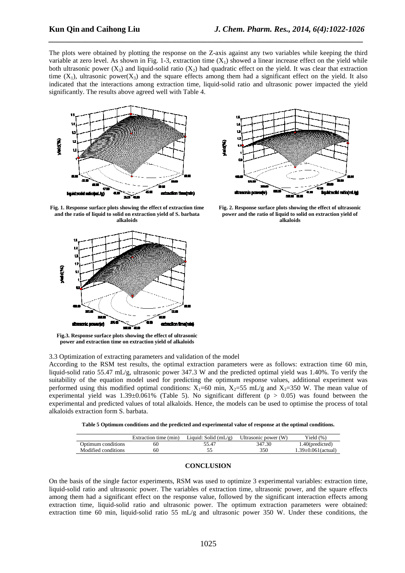The plots were obtained by plotting the response on the Z-axis against any two variables while keeping the third variable at zero level. As shown in Fig. 1-3, extraction time  $(X_1)$  showed a linear increase effect on the yield while both ultrasonic power  $(X_3)$  and liquid-solid ratio  $(X_2)$  had quadratic effect on the yield. It was clear that extraction time  $(X_1)$ , ultrasonic power $(X_3)$  and the square effects among them had a significant effect on the yield. It also indicated that the interactions among extraction time, liquid-solid ratio and ultrasonic power impacted the yield significantly. The results above agreed well with Table 4.

*\_\_\_\_\_\_\_\_\_\_\_\_\_\_\_\_\_\_\_\_\_\_\_\_\_\_\_\_\_\_\_\_\_\_\_\_\_\_\_\_\_\_\_\_\_\_\_\_\_\_\_\_\_\_\_\_\_\_\_\_\_\_\_\_\_\_\_\_\_\_\_\_\_\_\_\_\_*





**Fig. 1. Response surface plots showing the effect of extraction time and the ratio of liquid to solid on extraction yield of S. barbata alkaloids** 



**Fig.3. Response surface plots showing the effect of ultrasonic power and extraction time on extraction yield of alkaloids** 

**Fig. 2. Response surface plots showing the effect of ultrasonic power and the ratio of liquid to solid on extraction yield of** 

**alkaloids** 

3.3 Optimization of extracting parameters and validation of the model

According to the RSM test results, the optimal extraction parameters were as follows: extraction time 60 min, liquid-solid ratio 55.47 mL/g, ultrasonic power 347.3 W and the predicted optimal yield was 1.40%. To verify the suitability of the equation model used for predicting the optimum response values, additional experiment was performed using this modified optimal conditions:  $X_1=60$  min,  $X_2=55$  mL/g and  $X_3=350$  W. The mean value of experimental yield was  $1.39\pm0.061\%$  (Table 5). No significant different (p > 0.05) was found between the experimental and predicted values of total alkaloids. Hence, the models can be used to optimise the process of total alkaloids extraction form S. barbata.

| Table 5 Optimum conditions and the predicted and experimental value of response at the optimal conditions. |
|------------------------------------------------------------------------------------------------------------|
|------------------------------------------------------------------------------------------------------------|

|                     | Extraction time (min) | Liquid: Solid $(mL/g)$ | Ultrasonic power (W) | Yield (%)                 |
|---------------------|-----------------------|------------------------|----------------------|---------------------------|
| Optimum conditions  | 60                    | 55.47                  | 347.30               | 1.40(predicted)           |
| Modified conditions | 60                    |                        | 350                  | $1.39 \pm 0.061$ (actual) |

## **CONCLUSION**

On the basis of the single factor experiments, RSM was used to optimize 3 experimental variables: extraction time, liquid-solid ratio and ultrasonic power. The variables of extraction time, ultrasonic power, and the square effects among them had a significant effect on the response value, followed by the significant interaction effects among extraction time, liquid-solid ratio and ultrasonic power. The optimum extraction parameters were obtained: extraction time 60 min, liquid-solid ratio 55 mL/g and ultrasonic power 350 W. Under these conditions, the